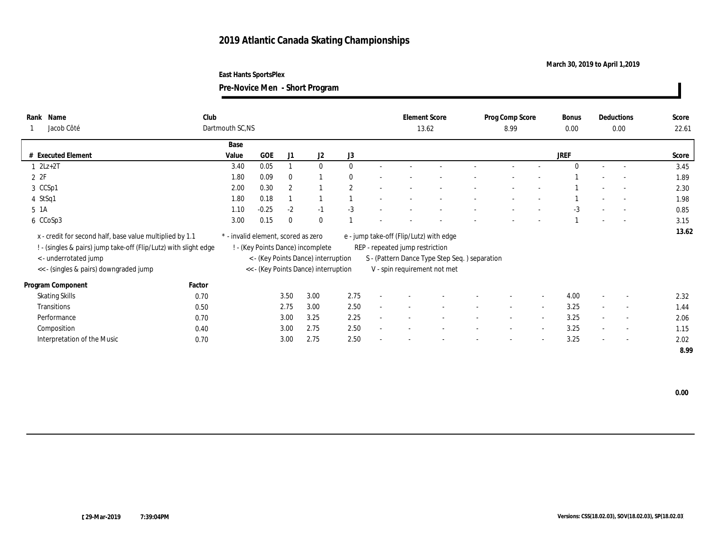## **2019 Atlantic Canada Skating Championships**

## **March 30, 2019 to April 1,2019**

**East Hants SportsPlex**

**Pre-Novice Men - Short Program**

| Rank Name<br>Jacob Côté                                                                                                                               | Club   |                                                                                                                 |            | Dartmouth SC,NS |                |                |        |                                 |                                                                                          |                          | Prog Comp Score<br>8.99  |                          |          | Deductions<br>0.00       |                          | Score<br>22.61 |
|-------------------------------------------------------------------------------------------------------------------------------------------------------|--------|-----------------------------------------------------------------------------------------------------------------|------------|-----------------|----------------|----------------|--------|---------------------------------|------------------------------------------------------------------------------------------|--------------------------|--------------------------|--------------------------|----------|--------------------------|--------------------------|----------------|
|                                                                                                                                                       |        | Base                                                                                                            |            |                 |                |                |        |                                 |                                                                                          |                          |                          |                          |          |                          |                          |                |
| # Executed Element                                                                                                                                    |        | Value                                                                                                           | <b>GOE</b> | J1              | J <sub>2</sub> | J3             |        |                                 |                                                                                          |                          |                          |                          | JREF     |                          |                          | Score          |
| $2Lz+2T$                                                                                                                                              |        | 3.40                                                                                                            | 0.05       |                 | $\mathbf{0}$   | $\mathbf{0}$   | $\sim$ |                                 |                                                                                          |                          |                          |                          | $\theta$ | $\sim$                   | $\sim$                   | 3.45           |
| 2Z                                                                                                                                                    |        | 1.80                                                                                                            | 0.09       | $\bf{0}$        |                | $\mathbf{0}$   |        |                                 |                                                                                          |                          |                          |                          |          |                          |                          | 1.89           |
| 3 CCSp1                                                                                                                                               |        | 2.00                                                                                                            | 0.30       | 2               |                | $\overline{2}$ |        |                                 |                                                                                          |                          |                          |                          |          |                          | $\sim$                   | 2.30           |
| 4 StSq1                                                                                                                                               |        | 1.80                                                                                                            | 0.18       |                 |                |                |        |                                 |                                                                                          |                          |                          |                          |          |                          |                          | 1.98           |
| 5 1A                                                                                                                                                  |        | 1.10                                                                                                            | $-0.25$    | $-2$            | $-1$           | $-3$           |        |                                 |                                                                                          |                          |                          |                          | $-3$     |                          |                          | 0.85           |
| 6 CCoSp3                                                                                                                                              |        | 3.00                                                                                                            | 0.15       | $\theta$        | $\theta$       |                |        |                                 |                                                                                          |                          |                          |                          |          |                          | $\sim$                   | 3.15           |
| x - credit for second half, base value multiplied by 1.1<br>! - (singles & pairs) jump take-off (Flip/Lutz) with slight edge<br>< - underrotated jump |        | * - invalid element, scored as zero<br>! - (Key Points Dance) incomplete<br>< - (Key Points Dance) interruption |            |                 |                |                |        | REP - repeated jump restriction | e - jump take-off (Flip/Lutz) with edge<br>S - (Pattern Dance Type Step Seq.) separation |                          |                          |                          |          |                          |                          | 13.62          |
| << - (singles & pairs) downgraded jump                                                                                                                |        | << - (Key Points Dance) interruption                                                                            |            |                 |                |                |        |                                 | V - spin requirement not met                                                             |                          |                          |                          |          |                          |                          |                |
| Program Component                                                                                                                                     | Factor |                                                                                                                 |            |                 |                |                |        |                                 |                                                                                          |                          |                          |                          |          |                          |                          |                |
| <b>Skating Skills</b>                                                                                                                                 | 0.70   |                                                                                                                 |            | 3.50            | 3.00           | 2.75           |        |                                 |                                                                                          |                          |                          | $\overline{a}$           | 4.00     |                          | $\overline{\phantom{a}}$ | 2.32           |
| Transitions                                                                                                                                           | 0.50   |                                                                                                                 |            | 2.75            | 3.00           | 2.50           |        |                                 |                                                                                          | $\sim$                   | $\sim$                   | $\overline{a}$           | 3.25     | $\sim$                   | $\sim$                   | 1.44           |
| Performance                                                                                                                                           | 0.70   |                                                                                                                 |            | 3.00            | 3.25           | 2.25           |        |                                 |                                                                                          | $\overline{\phantom{a}}$ | $\overline{\phantom{a}}$ | $\sim$                   | 3.25     | $\sim$                   | $\overline{\phantom{a}}$ | 2.06           |
| Composition                                                                                                                                           | 0.40   |                                                                                                                 |            | 3.00            | 2.75           | 2.50           |        |                                 |                                                                                          | $\overline{\phantom{a}}$ | $\overline{\phantom{a}}$ | $\overline{\phantom{a}}$ | 3.25     | $\overline{\phantom{a}}$ | $\sim$                   | 1.15           |
| Interpretation of the Music                                                                                                                           | 0.70   |                                                                                                                 |            | 3.00            | 2.75           | 2.50           |        |                                 |                                                                                          |                          | $\overline{\phantom{a}}$ | $\overline{\phantom{a}}$ | 3.25     | $\sim$                   | $\overline{\phantom{a}}$ | 2.02           |
|                                                                                                                                                       |        |                                                                                                                 |            |                 |                |                |        |                                 |                                                                                          |                          |                          |                          |          |                          |                          | 8.99           |